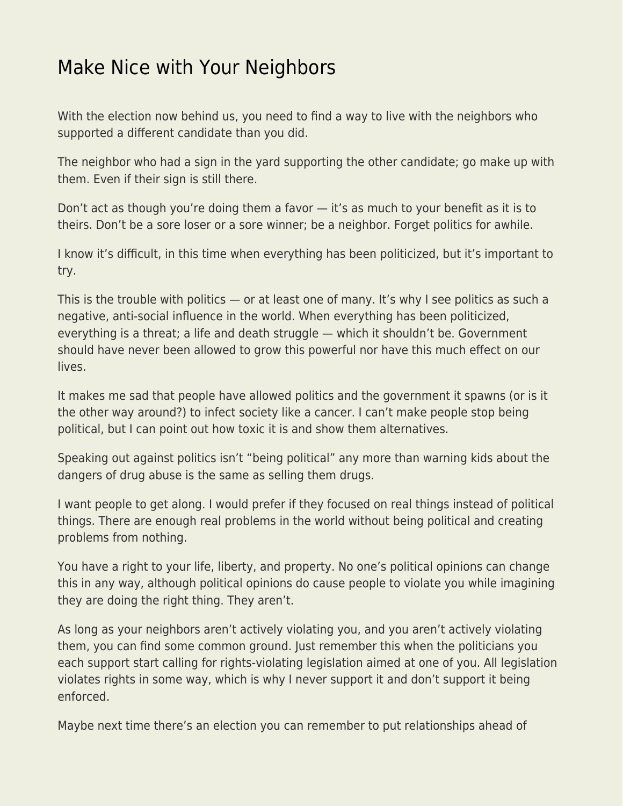## [Make Nice with Your Neighbors](https://everything-voluntary.com/make-nice-with-your-neighbors)

With the election now behind us, you need to find a way to live with the neighbors who supported a different candidate than you did.

The neighbor who had a sign in the yard supporting the other candidate; go make up with them. Even if their sign is still there.

Don't act as though you're doing them a favor — it's as much to your benefit as it is to theirs. Don't be a sore loser or a sore winner; be a neighbor. Forget politics for awhile.

I know it's difficult, in this time when everything has been politicized, but it's important to try.

This is the trouble with politics — or at least one of many. It's why I see politics as such a negative, anti-social influence in the world. When everything has been politicized, everything is a threat; a life and death struggle — which it shouldn't be. Government should have never been allowed to grow this powerful nor have this much effect on our lives.

It makes me sad that people have allowed politics and the government it spawns (or is it the other way around?) to infect society like a cancer. I can't make people stop being political, but I can point out how toxic it is and show them alternatives.

Speaking out against politics isn't "being political" any more than warning kids about the dangers of drug abuse is the same as selling them drugs.

I want people to get along. I would prefer if they focused on real things instead of political things. There are enough real problems in the world without being political and creating problems from nothing.

You have a right to your life, liberty, and property. No one's political opinions can change this in any way, although political opinions do cause people to violate you while imagining they are doing the right thing. They aren't.

As long as your neighbors aren't actively violating you, and you aren't actively violating them, you can find some common ground. Just remember this when the politicians you each support start calling for rights-violating legislation aimed at one of you. All legislation violates rights in some way, which is why I never support it and don't support it being enforced.

Maybe next time there's an election you can remember to put relationships ahead of